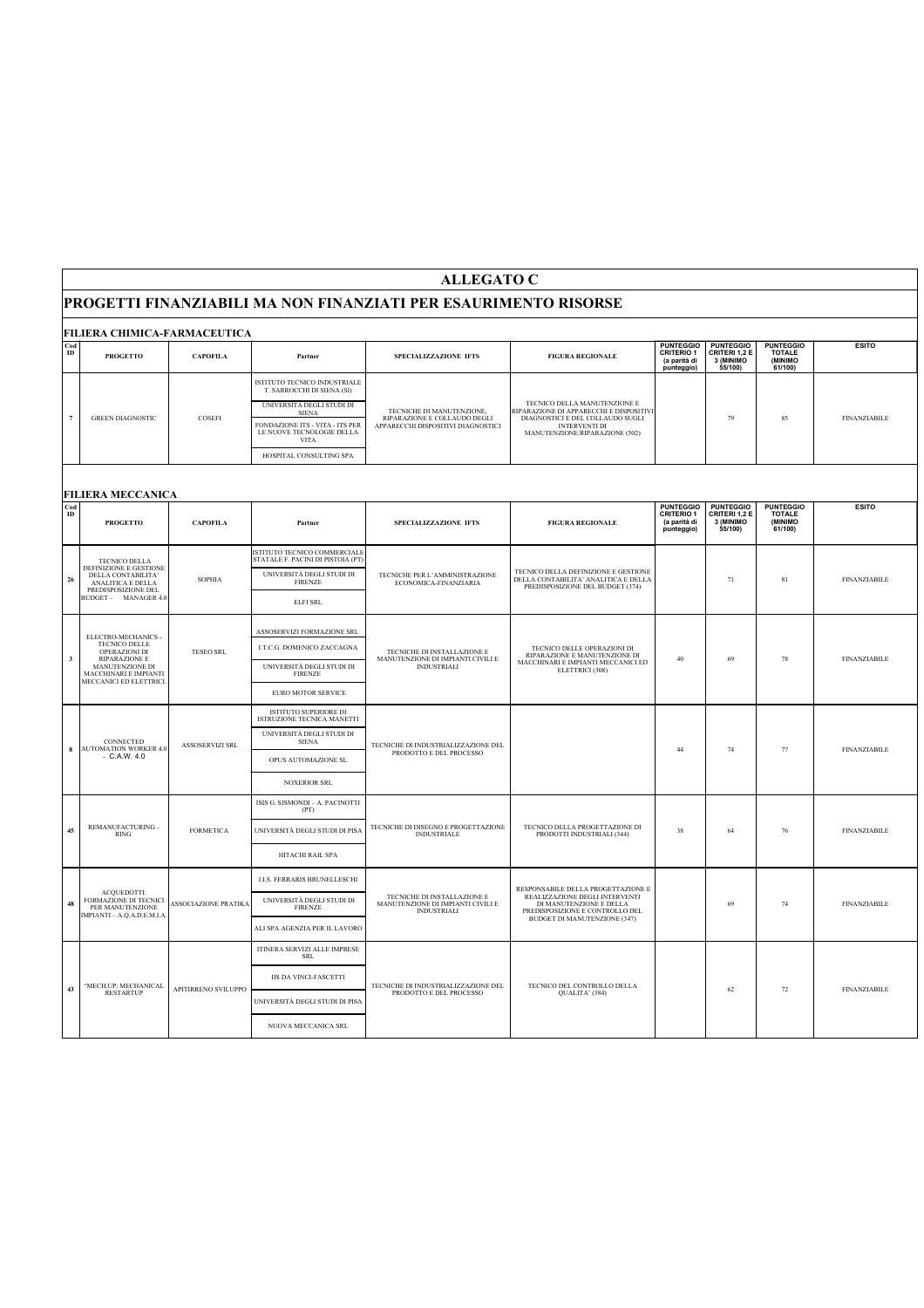## **PROGETTI FINANZIABILI MA NON FINANZIATI PER ESAURIMENTO RISORSE**

|                       | FILIERA CHIMICA-FARMACEUTICA                                                                                           |                             |                                                                                                         |                                                                                                 |                                                                                                                                                                       |                                                                     |                                                           |                                                         |                     |  |
|-----------------------|------------------------------------------------------------------------------------------------------------------------|-----------------------------|---------------------------------------------------------------------------------------------------------|-------------------------------------------------------------------------------------------------|-----------------------------------------------------------------------------------------------------------------------------------------------------------------------|---------------------------------------------------------------------|-----------------------------------------------------------|---------------------------------------------------------|---------------------|--|
| $_{\rm ID}^{\rm Cod}$ | <b>PROGETTO</b>                                                                                                        | <b>CAPOFILA</b>             | Partner                                                                                                 | SPECIALIZZAZIONE IFTS                                                                           | <b>FIGURA REGIONALE</b>                                                                                                                                               | <b>PUNTEGGIO</b><br><b>CRITERIO 1</b><br>(a parità di<br>punteggio) | <b>PUNTEGGIO</b><br>CRITERI 1,2 E<br>3 (MINIMO<br>55/100) | <b>PUNTEGGIO</b><br><b>TOTALE</b><br>(MINIMO<br>61/100) | <b>ESITO</b>        |  |
| $\overline{7}$        | <b>GREEN DIAGNOSTIC</b>                                                                                                | COSEFI                      | ISTITUTO TECNICO INDUSTRIALE<br>T. SARROCCHI DI SIENA (SI)<br>UNIVERSITÀ DEGLI STUDI DI<br><b>SIENA</b> | TECNICHE DI MANUTENZIONE,<br>RIPARAZIONE E COLLAUDO DEGLI<br>APPARECCHI DISPOSITIVI DIAGNOSTICI | TECNICO DELLA MANUTENZIONE E<br>RIPARAZIONE DI APPARECCHI E DISPOSITIVI<br>DIAGNOSTICI E DEL COLLAUDO SUGLI<br><b>INTERVENTI DI</b><br>MANUTENZIONE/RIPARAZIONE (502) |                                                                     |                                                           |                                                         |                     |  |
|                       |                                                                                                                        |                             | FONDAZIONE ITS - VITA - ITS PER<br>LE NUOVE TECNOLOGIE DELLA<br><b>VITA</b>                             |                                                                                                 |                                                                                                                                                                       | 79                                                                  |                                                           | 85                                                      | <b>FINANZIABILE</b> |  |
|                       |                                                                                                                        |                             | HOSPITAL CONSULTING SPA                                                                                 |                                                                                                 |                                                                                                                                                                       |                                                                     |                                                           |                                                         |                     |  |
|                       | <b>FILIERA MECCANICA</b>                                                                                               |                             |                                                                                                         |                                                                                                 |                                                                                                                                                                       |                                                                     |                                                           |                                                         |                     |  |
| $_{\rm ID}^{\rm Cod}$ | <b>PROGETTO</b>                                                                                                        | <b>CAPOFILA</b>             | Partner                                                                                                 | SPECIALIZZAZIONE IFTS                                                                           | <b>FIGURA REGIONALE</b>                                                                                                                                               | <b>PUNTEGGIO</b><br><b>CRITERIO 1</b><br>(a parità di<br>punteggio) | <b>PUNTEGGIO</b><br>CRITERI 1,2 E<br>3 (MINIMO<br>55/100) | <b>PUNTEGGIO</b><br>TOTALE<br>(MINIMO<br>61/100)        | <b>ESITO</b>        |  |
|                       | <b>TECNICO DELLA</b>                                                                                                   |                             | ISTITUTO TECNICO COMMERCIALE<br>STATALE F. PACINI DI PISTOIA (PT)                                       |                                                                                                 |                                                                                                                                                                       |                                                                     |                                                           |                                                         |                     |  |
| 26                    | DEFINIZIONE E GESTIONE<br>DELLA CONTABILITA'<br>ANALITICA E DELLA                                                      | <b>SOPHIA</b>               | UNIVERSITÀ DEGLI STUDI DI<br><b>FIRENZE</b>                                                             | TECNICHE PER L'AMMINISTRAZIONE<br>ECONOMICA-FINANZIARIA                                         | TECNICO DELLA DEFINIZIONE E GESTIONE<br>DELLA CONTABILITA' ANALITICA E DELLA<br>PREDISPOSIZIONE DEL BUDGET (374)                                                      |                                                                     | 71                                                        | 81                                                      | <b>FINANZIABILE</b> |  |
|                       | PREDISPOSIZIONE DEL<br>BUDGET - MANAGER 4.0                                                                            |                             | <b>ELFI SRL</b>                                                                                         |                                                                                                 |                                                                                                                                                                       |                                                                     |                                                           |                                                         |                     |  |
|                       | ELECTRO-MECHANICS -                                                                                                    |                             | ASSOSERVIZI FORMAZIONE SRL                                                                              | TECNICHE DI INSTALLAZIONE E<br>MANUTENZIONE DI IMPIANTI CIVILI E<br><b>INDUSTRIALI</b>          | TECNICO DELLE OPERAZIONI DI<br>RIPARAZIONE E MANUTENZIONE DI<br>MACCHINARI E IMPIANTI MECCANICI ED<br>ELETTRICI (308)                                                 | 40                                                                  | 69                                                        | 78                                                      | <b>FINANZIABILE</b> |  |
| $\mathbf 3$           | TECNICO DELLE<br>OPERAZIONI DI<br>RIPARAZIONE E<br>MANUTENZIONE DI<br>MACCHINARI E IMPIANTI<br>MECCANICI ED ELETTRICI. | <b>TESEO SRL</b>            | I.T.C.G. DOMENICO ZACCAGNA                                                                              |                                                                                                 |                                                                                                                                                                       |                                                                     |                                                           |                                                         |                     |  |
|                       |                                                                                                                        |                             | UNIVERSITÀ DEGLI STUDI DI<br><b>FIRENZE</b>                                                             |                                                                                                 |                                                                                                                                                                       |                                                                     |                                                           |                                                         |                     |  |
|                       |                                                                                                                        |                             | EURO MOTOR SERVICE                                                                                      |                                                                                                 |                                                                                                                                                                       |                                                                     |                                                           |                                                         |                     |  |
|                       | CONNECTED<br><b>AUTOMATION WORKER 4.0</b><br>$- C.A.W. 4.0$                                                            | ASSOSERVIZI SRL             | ISTITUTO SUPERIORE DI<br>ISTRUZIONE TECNICA MANETTI                                                     | TECNICHE DI INDUSTRIALIZZAZIONE DEL<br>PRODOTTO E DEL PROCESSO                                  |                                                                                                                                                                       |                                                                     | 74                                                        | 77                                                      | <b>FINANZIABILE</b> |  |
| 8                     |                                                                                                                        |                             | UNIVERSITÀ DEGLI STUDI DI<br><b>SIENA</b>                                                               |                                                                                                 |                                                                                                                                                                       | 44                                                                  |                                                           |                                                         |                     |  |
|                       |                                                                                                                        |                             | OPUS AUTOMAZIONE SL                                                                                     |                                                                                                 |                                                                                                                                                                       |                                                                     |                                                           |                                                         |                     |  |
|                       |                                                                                                                        |                             | <b>NOXERIOR SRL</b>                                                                                     |                                                                                                 |                                                                                                                                                                       |                                                                     |                                                           |                                                         |                     |  |
|                       |                                                                                                                        |                             | ISIS G. SISMONDI - A. PACINOTTI<br>(PT)                                                                 |                                                                                                 |                                                                                                                                                                       |                                                                     | 64<br>76                                                  |                                                         | <b>FINANZIABILE</b> |  |
| 45                    | REMANUFACTURING -<br><b>RING</b>                                                                                       | <b>FORMETICA</b>            | UNIVERSITÀ DEGLI STUDI DI PISA                                                                          | TECNICHE DI DISEGNO E PROGETTAZIONE<br><b>INDUSTRIALE</b>                                       | TECNICO DELLA PROGETTAZIONE DI<br>PRODOTTI INDUSTRIALI (344)                                                                                                          | 38                                                                  |                                                           |                                                         |                     |  |
|                       |                                                                                                                        |                             | HITACHI RAIL SPA                                                                                        |                                                                                                 |                                                                                                                                                                       |                                                                     |                                                           |                                                         |                     |  |
|                       | <b>ACOUEDOTTI:</b>                                                                                                     | <b>ASSOCIAZIONE PRATIKA</b> | <b>I.I.S. FERRARIS BRUNELLESCHI</b>                                                                     | TECNICHE DI INSTALLAZIONE E<br>MANUTENZIONE DI IMPIANTI CIVILI E<br><b>INDUSTRIALI</b>          | RESPONSABILE DELLA PROGETTAZIONE E<br>REALIZZAZIONE DEGLI INTERVENTI<br>DI MANUTENZIONE E DELLA<br>PREDISPOSIZIONE E CONTROLLO DEL                                    |                                                                     |                                                           |                                                         |                     |  |
| 48                    | FORMAZIONE DI TECNICI<br>PER MANUTENZIONE<br>IMPIANTI - A.Q.A.D.E.M.I.A                                                |                             | UNIVERSITÀ DEGLI STUDI DI<br><b>FIRENZE</b>                                                             |                                                                                                 |                                                                                                                                                                       | 69                                                                  |                                                           | 74                                                      | <b>FINANZIABILE</b> |  |
|                       |                                                                                                                        |                             | ALI SPA AGENZIA PER IL LAVORO                                                                           |                                                                                                 | <b>BUDGET DI MANUTENZIONE (347)</b>                                                                                                                                   |                                                                     |                                                           |                                                         |                     |  |
|                       |                                                                                                                        | APITIRRENO SVILUPPO         | ITINERA SERVIZI ALLE IMPRESE<br><b>SRL</b>                                                              | TECNICHE DI INDUSTRIALIZZAZIONE DEL<br>PRODOTTO E DEL PROCESSO                                  | TECNICO DEL CONTROLLO DELLA<br>QUALITA' (384)                                                                                                                         |                                                                     |                                                           |                                                         |                     |  |
|                       | "MECH.UP: MECHANICAL                                                                                                   |                             | <b>IIS DA VINCI-FASCETTI</b>                                                                            |                                                                                                 |                                                                                                                                                                       |                                                                     |                                                           |                                                         |                     |  |
| 43                    | <b>RESTARTUP</b>                                                                                                       |                             | UNIVERSITÀ DEGLI STUDI DI PISA                                                                          |                                                                                                 |                                                                                                                                                                       |                                                                     | 62                                                        | 72                                                      | <b>FINANZIABILE</b> |  |
|                       |                                                                                                                        |                             | NUOVA MECCANICA SRL                                                                                     |                                                                                                 |                                                                                                                                                                       |                                                                     |                                                           |                                                         |                     |  |

**ALLEGATO C**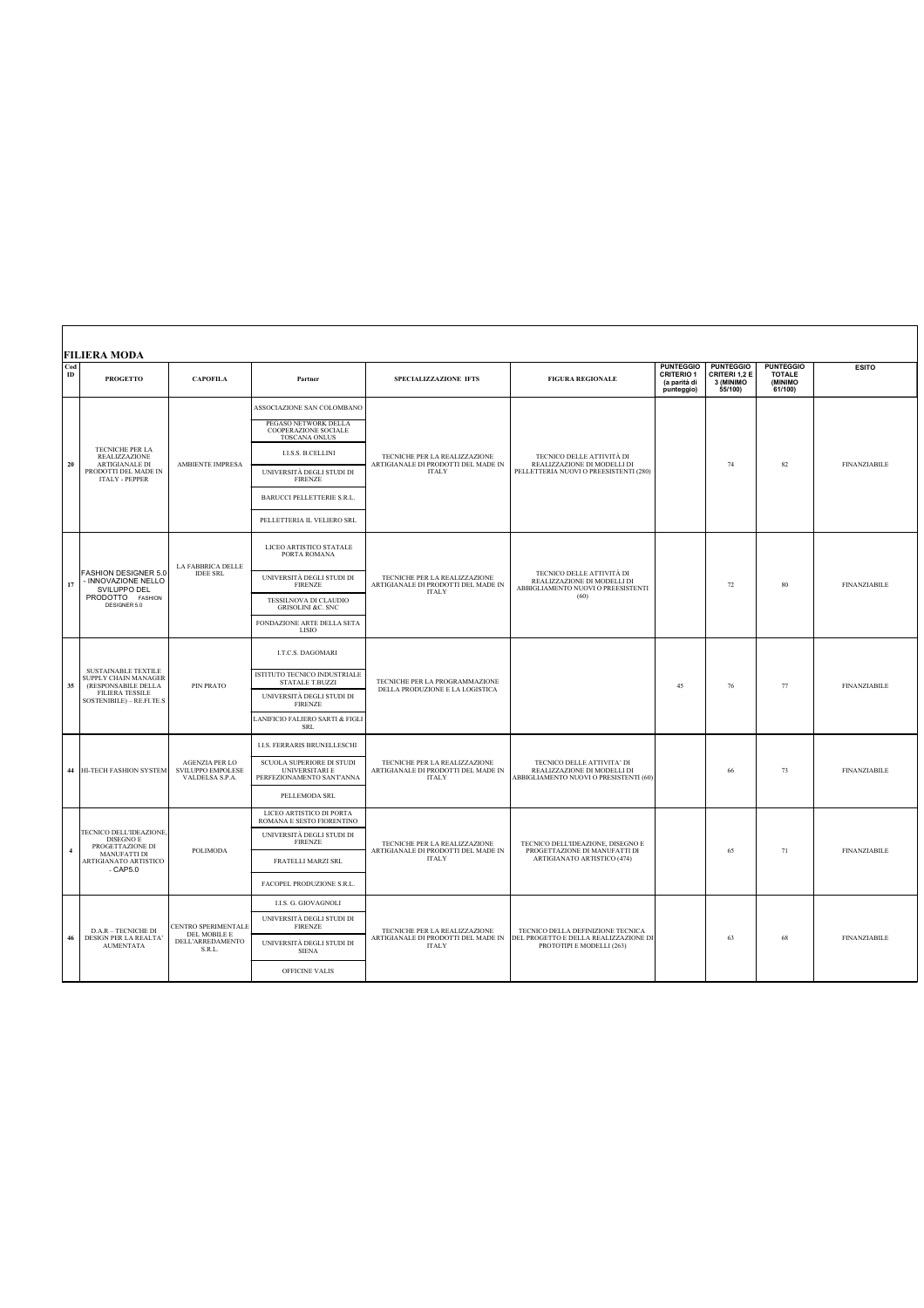|                      | <b>FILIERA MODA</b>                                                                                                              |                                                                   |                                                                                 |                                                                                      |                                                                                                        |                                                                     |                                                           |                                                               |                     |
|----------------------|----------------------------------------------------------------------------------------------------------------------------------|-------------------------------------------------------------------|---------------------------------------------------------------------------------|--------------------------------------------------------------------------------------|--------------------------------------------------------------------------------------------------------|---------------------------------------------------------------------|-----------------------------------------------------------|---------------------------------------------------------------|---------------------|
| Cod<br>$\mathbf{ID}$ | <b>PROGETTO</b>                                                                                                                  | <b>CAPOFILA</b>                                                   | Partner                                                                         | SPECIALIZZAZIONE IFTS                                                                | <b>FIGURA REGIONALE</b>                                                                                | <b>PUNTEGGIO</b><br><b>CRITERIO 1</b><br>(a parità di<br>punteggio) | <b>PUNTEGGIO</b><br>CRITERI 1,2 E<br>3 (MINIMO<br>55/100) | <b>PUNTEGGIO</b><br><b>TOTALE</b><br><b>CMINIMO</b><br>61/100 | <b>ESITO</b>        |
| 20                   |                                                                                                                                  |                                                                   | ASSOCIAZIONE SAN COLOMBANO                                                      | TECNICHE PER LA REALIZZAZIONE<br>ARTIGIANALE DI PRODOTTI DEL MADE IN<br><b>ITALY</b> |                                                                                                        |                                                                     |                                                           |                                                               |                     |
|                      | TECNICHE PER LA<br><b>REALIZZAZIONE</b><br><b>ARTIGIANALE DI</b>                                                                 | <b>AMBIENTE IMPRESA</b>                                           | PEGASO NETWORK DELLA<br>COOPERAZIONE SOCIALE<br><b>TOSCANA ONLUS</b>            |                                                                                      | TECNICO DELLE ATTIVITÀ DI<br>REALIZZAZIONE DI MODELLI DI<br>PELLETTERIA NUOVI O PREESISTENTI (280)     |                                                                     |                                                           |                                                               |                     |
|                      |                                                                                                                                  |                                                                   | <b>I.I.S.S. B.CELLINI</b>                                                       |                                                                                      |                                                                                                        |                                                                     | 74                                                        | 82                                                            | <b>FINANZIABILE</b> |
|                      | PRODOTTI DEL MADE IN<br><b>ITALY - PEPPER</b>                                                                                    |                                                                   | UNIVERSITÀ DEGLI STUDI DI<br><b>FIRENZE</b>                                     |                                                                                      |                                                                                                        |                                                                     |                                                           |                                                               |                     |
|                      |                                                                                                                                  |                                                                   | <b>BARUCCI PELLETTERIE S.R.L.</b>                                               |                                                                                      |                                                                                                        |                                                                     |                                                           |                                                               |                     |
|                      |                                                                                                                                  |                                                                   | PELLETTERIA IL VELIERO SRL                                                      |                                                                                      |                                                                                                        |                                                                     |                                                           |                                                               |                     |
|                      |                                                                                                                                  | LA FABBRICA DELLE<br><b>IDEE SRL</b>                              | LICEO ARTISTICO STATALE<br>PORTA ROMANA                                         | TECNICHE PER LA REALIZZAZIONE<br>ARTIGIANALE DI PRODOTTI DEL MADE IN<br><b>ITALY</b> | TECNICO DELLE ATTIVITÀ DI<br>REALIZZAZIONE DI MODELLI DI<br>ABBIGLIAMENTO NUOVI O PREESISTENTI<br>(60) |                                                                     |                                                           |                                                               |                     |
| 17                   | FASHION DESIGNER 5.0<br>- INNOVAZIONE NELLO<br>SVILUPPO DEL<br>PRODOTTO FASHION<br>DESIGNER 5.0                                  |                                                                   | UNIVERSITÀ DEGLI STUDI DI<br><b>FIRENZE</b>                                     |                                                                                      |                                                                                                        |                                                                     | 72                                                        | 80                                                            | <b>FINANZIABILE</b> |
|                      |                                                                                                                                  |                                                                   | TESSILNOVA DI CLAUDIO<br><b>GRISOLINI &amp;C. SNC</b>                           |                                                                                      |                                                                                                        |                                                                     |                                                           |                                                               |                     |
|                      |                                                                                                                                  |                                                                   | FONDAZIONE ARTE DELLA SETA<br><b>LISIO</b>                                      |                                                                                      |                                                                                                        |                                                                     |                                                           |                                                               |                     |
|                      | <b>SUSTAINABLE TEXTILE</b><br>SUPPLY CHAIN MANAGER<br>(RESPONSABILE DELLA<br><b>FILIERA TESSILE</b><br>SOSTENIBILE) - RE.FI.TE.S | PIN PRATO                                                         | I.T.C.S. DAGOMARI                                                               | TECNICHE PER LA PROGRAMMAZIONE<br>DELLA PRODUZIONE E LA LOGISTICA                    |                                                                                                        |                                                                     |                                                           |                                                               |                     |
| 35                   |                                                                                                                                  |                                                                   | ISTITUTO TECNICO INDUSTRIALE<br><b>STATALE T.BUZZI</b>                          |                                                                                      |                                                                                                        | 45<br>76                                                            |                                                           | 77                                                            | <b>FINANZIABILE</b> |
|                      |                                                                                                                                  |                                                                   | UNIVERSITÀ DEGLI STUDI DI<br><b>FIRENZE</b>                                     |                                                                                      |                                                                                                        |                                                                     |                                                           |                                                               |                     |
|                      |                                                                                                                                  |                                                                   | LANIFICIO FALIERO SARTI & FIGLI<br><b>SRL</b>                                   |                                                                                      |                                                                                                        |                                                                     |                                                           |                                                               |                     |
|                      | <b>HI-TECH FASHION SYSTEM</b>                                                                                                    |                                                                   | <b>I.I.S. FERRARIS BRUNELLESCHI</b>                                             | TECNICHE PER LA REALIZZAZIONE<br>ARTIGIANALE DI PRODOTTI DEL MADE IN<br><b>ITALY</b> | TECNICO DELLE ATTIVITA' DI<br>REALIZZAZIONE DI MODELLI DI<br>ABBIGLIAMENTO NUOVI O PRESISTENTI (60)    |                                                                     |                                                           |                                                               |                     |
| 44                   |                                                                                                                                  | <b>AGENZIA PER LO</b><br>SVILUPPO EMPOLESE<br>VALDELSA S.P.A.     | SCUOLA SUPERIORE DI STUDI<br><b>UNIVERSITARI E</b><br>PERFEZIONAMENTO SANT'ANNA |                                                                                      |                                                                                                        |                                                                     | 66                                                        | 73                                                            | <b>FINANZIABILE</b> |
|                      |                                                                                                                                  |                                                                   | PELLEMODA SRL                                                                   |                                                                                      |                                                                                                        |                                                                     |                                                           |                                                               |                     |
|                      |                                                                                                                                  | POLIMODA                                                          | LICEO ARTISTICO DI PORTA<br>ROMANA E SESTO FIORENTINO                           | TECNICHE PER LA REALIZZAZIONE<br>ARTIGIANALE DI PRODOTTI DEL MADE IN<br><b>ITALY</b> | TECNICO DELL'IDEAZIONE, DISEGNO E<br>PROGETTAZIONE DI MANUFATTI DI<br>ARTIGIANATO ARTISTICO (474)      |                                                                     |                                                           |                                                               |                     |
| $\overline{4}$       | TECNICO DELL'IDEAZIONE,<br>DISEGNO E<br>PROGETTAZIONE DI                                                                         |                                                                   | UNIVERSITÀ DEGLI STUDI DI<br><b>FIRENZE</b>                                     |                                                                                      |                                                                                                        |                                                                     | 65                                                        | 71                                                            | <b>FINANZIABILE</b> |
|                      | MANUFATTI DI<br>ARTIGIANATO ARTISTICO<br>$-CAP5.0$                                                                               |                                                                   | FRATELLI MARZI SRL                                                              |                                                                                      |                                                                                                        |                                                                     |                                                           |                                                               |                     |
|                      |                                                                                                                                  |                                                                   | FACOPEL PRODUZIONE S.R.L.                                                       |                                                                                      |                                                                                                        |                                                                     |                                                           |                                                               |                     |
|                      | <b>D.A.R - TECNICHE DI</b><br>DESIGN PER LA REALTA<br><b>AUMENTATA</b>                                                           | CENTRO SPERIMENTALE<br>DEL MOBILE E<br>DELL'ARREDAMENTO<br>S.R.L. | <b>I.I.S. G. GIOVAGNOLI</b>                                                     | TECNICHE PER LA REALIZZAZIONE<br>ARTIGIANALE DI PRODOTTI DEL MADE IN<br><b>ITALY</b> | TECNICO DELLA DEFINIZIONE TECNICA                                                                      |                                                                     |                                                           |                                                               |                     |
|                      |                                                                                                                                  |                                                                   | UNIVERSITÀ DEGLI STUDI DI<br><b>FIRENZE</b>                                     |                                                                                      |                                                                                                        |                                                                     |                                                           |                                                               |                     |
| 46                   |                                                                                                                                  |                                                                   | UNIVERSITÀ DEGLI STUDI DI<br><b>SIENA</b>                                       |                                                                                      | DEL PROGETTO E DELLA REALIZZAZIONE DI<br>PROTOTIPI E MODELLI (263)                                     |                                                                     | 63                                                        | 68                                                            | <b>FINANZIABILE</b> |
|                      |                                                                                                                                  |                                                                   | OFFICINE VALIS                                                                  |                                                                                      |                                                                                                        |                                                                     |                                                           |                                                               |                     |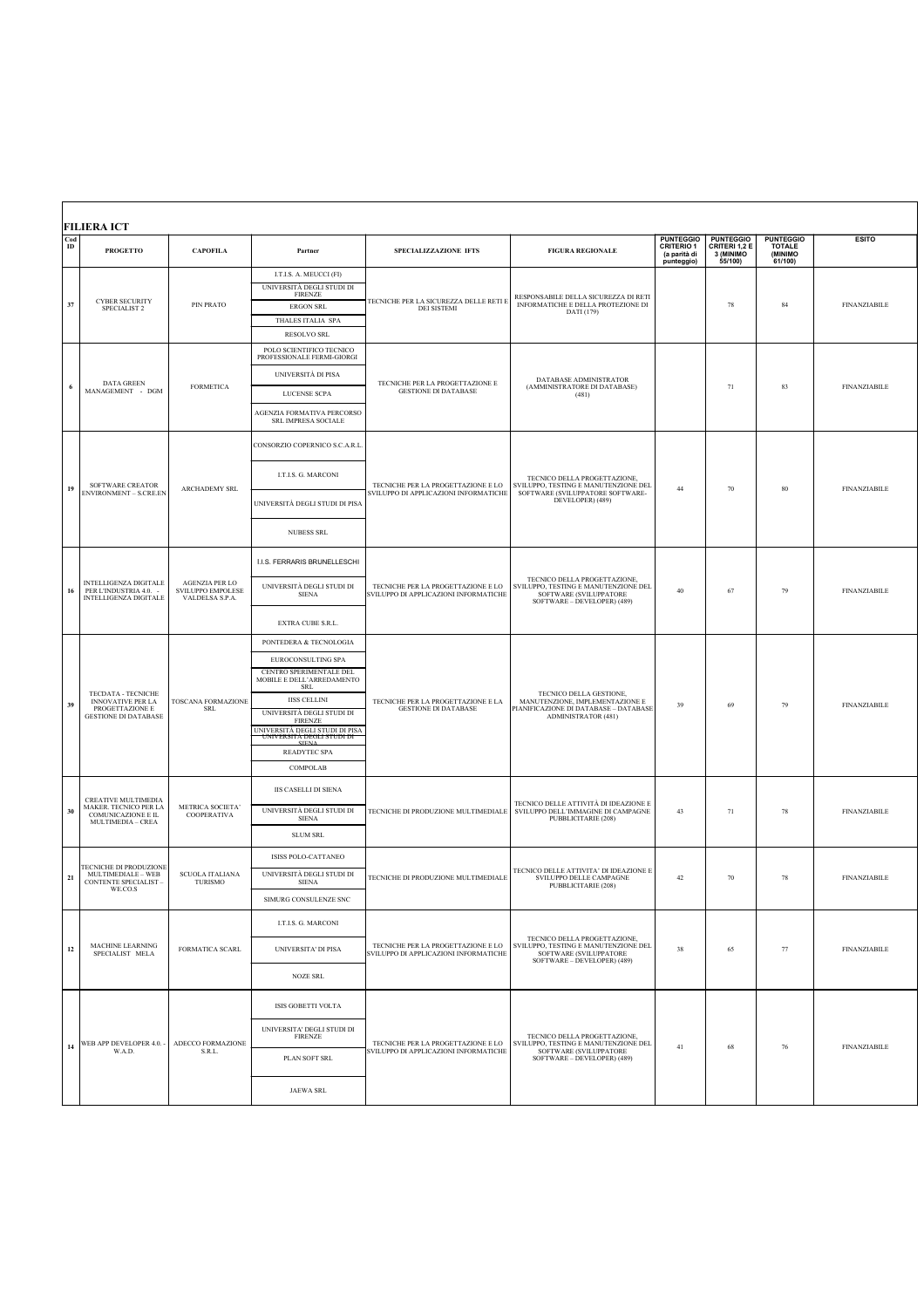| Cod<br>$\mathbf{ID}$ | <b>FILIERA ICT</b><br><b>PROGETTO</b>                                                          | <b>CAPOFILA</b>                                        | Partner                                                                                                                                                                                                                                                                                    | SPECIALIZZAZIONE IFTS                                                       | <b>FIGURA REGIONALE</b>                                                                                                           | <b>PUNTEGGIO</b><br><b>CRITERIO 1</b><br>(a parità di<br>punteggio) | <b>PUNTEGGIO</b><br>CRITERI 1,2 E<br>3 (MINIMO<br>55/100) | <b>PUNTEGGIO</b><br><b>TOTALE</b><br>(MINIMO<br>61/100 | <b>ESITO</b>        |
|----------------------|------------------------------------------------------------------------------------------------|--------------------------------------------------------|--------------------------------------------------------------------------------------------------------------------------------------------------------------------------------------------------------------------------------------------------------------------------------------------|-----------------------------------------------------------------------------|-----------------------------------------------------------------------------------------------------------------------------------|---------------------------------------------------------------------|-----------------------------------------------------------|--------------------------------------------------------|---------------------|
| 37                   | <b>CYBER SECURITY</b><br>SPECIALIST <sub>2</sub>                                               | PIN PRATO                                              | I.T.I.S. A. MEUCCI (FI)<br>UNIVERSITÀ DEGLI STUDI DI<br><b>FIRENZE</b><br><b>ERGON SRL</b><br>THALES ITALIA SPA<br><b>RESOLVO SRL</b>                                                                                                                                                      | TECNICHE PER LA SICUREZZA DELLE RETI E<br>DEI SISTEMI                       | RESPONSABILE DELLA SICUREZZA DI RETI<br>INFORMATICHE E DELLA PROTEZIONE DI<br>DATI (179)                                          |                                                                     | 78                                                        | 84                                                     | <b>FINANZIABILE</b> |
| 6                    | DATA GREEN<br>MANAGEMENT - DGM                                                                 | <b>FORMETICA</b>                                       | POLO SCIENTIFICO TECNICO<br>PROFESSIONALE FERMI-GIORGI<br>UNIVERSITÀ DI PISA<br>LUCENSE SCPA<br>AGENZIA FORMATIVA PERCORSO<br>SRL IMPRESA SOCIALE                                                                                                                                          | TECNICHE PER LA PROGETTAZIONE E<br><b>GESTIONE DI DATABASE</b>              | DATABASE ADMINISTRATOR<br>(AMMINISTRATORE DI DATABASE)<br>(481)                                                                   |                                                                     | 71                                                        | 83                                                     | <b>FINANZIABILE</b> |
| 19                   | SOFTWARE CREATOR<br><b>ENVIRONMENT - S.CRE.EN</b>                                              | ARCHADEMY SRL                                          | CONSORZIO COPERNICO S.C.A.R.L<br>I.T.I.S. G. MARCONI<br>UNIVERSITÀ DEGLI STUDI DI PISA<br><b>NUBESS SRL</b>                                                                                                                                                                                | TECNICHE PER LA PROGETTAZIONE E LO<br>SVILUPPO DI APPLICAZIONI INFORMATICHE | TECNICO DELLA PROGETTAZIONE,<br>SVILUPPO, TESTING E MANUTENZIONE DEL<br>SOFTWARE (SVILUPPATORE SOFTWARE-<br>DEVELOPER) (489)      | 44                                                                  | 70                                                        | 80                                                     | <b>FINANZIABILE</b> |
| 16                   | INTELLIGENZA DIGITALE<br>PER L'INDUSTRIA 4.0. -<br><b>INTELLIGENZA DIGITALE</b>                | AGENZIA PER LO<br>SVILUPPO EMPOLESE<br>VALDELSA S.P.A. | I.I.S. FERRARIS BRUNELLESCHI<br>UNIVERSITÀ DEGLI STUDI DI<br><b>SIENA</b><br>EXTRA CUBE S.R.L.                                                                                                                                                                                             | TECNICHE PER LA PROGETTAZIONE E LO<br>SVILUPPO DI APPLICAZIONI INFORMATICHE | TECNICO DELLA PROGETTAZIONE,<br>SVILUPPO, TESTING E MANUTENZIONE DEL<br>SOFTWARE (SVILUPPATORE<br>SOFTWARE - DEVELOPER) (489)     | 40                                                                  | 67                                                        | 79                                                     | <b>FINANZIABILE</b> |
| 39                   | TECDATA - TECNICHE<br>INNOVATIVE PER LA<br>PROGETTAZIONE E<br><b>GESTIONE DI DATABASE</b>      | <b>TOSCANA FORMAZIONE</b><br><b>SRL</b>                | PONTEDERA & TECNOLOGIA<br>EUROCONSULTING SPA<br>CENTRO SPERIMENTALE DEL<br>MOBILE E DELL'ARREDAMENTO<br><b>SRL</b><br><b>IISS CELLINI</b><br>UNIVERSITÀ DEGLI STUDI DI<br><b>FIRENZE</b><br>UNIVERSITÀ DEGLI STUDI DI PISA<br>UNIVERSITA DEGLI STUDI DI<br><b>READYTEC SPA</b><br>COMPOLAB | TECNICHE PER LA PROGETTAZIONE E LA<br><b>GESTIONE DI DATABASE</b>           | TECNICO DELLA GESTIONE,<br>MANUTENZIONE, IMPLEMENTAZIONE E<br>PIANIFICAZIONE DI DATABASE - DATABASE<br><b>ADMINISTRATOR (481)</b> | 39                                                                  | 69                                                        | 79                                                     | <b>FINANZIABILE</b> |
| 30                   | CREATIVE MULTIMEDIA<br>MAKER. TECNICO PER LA<br>COMUNICAZIONE E IL<br><b>MULTIMEDIA - CREA</b> | METRICA SOCIETA'<br>COOPERATIVA                        | <b>IIS CASELLI DI SIENA</b><br>UNIVERSITÀ DEGLI STUDI DI<br><b>SIENA</b><br><b>SLUM SRL</b>                                                                                                                                                                                                | TECNICHE DI PRODUZIONE MULTIMEDIALE                                         | TECNICO DELLE ATTIVITÀ DI IDEAZIONE E<br>SVILUPPO DELL'IMMAGINE DI CAMPAGNE<br>PUBBLICITARIE (208)                                | 43                                                                  | 71                                                        | 78                                                     | <b>FINANZIABILE</b> |
| 21                   | TECNICHE DI PRODUZIONE<br>MULTIMEDIALE - WEB<br><b>CONTENTE SPECIALIST -</b><br>WE.CO.S        | <b>SCUOLA ITALIANA</b><br>TURISMO                      | ISISS POLO-CATTANEO<br>UNIVERSITÀ DEGLI STUDI DI<br><b>SIENA</b><br>SIMURG CONSULENZE SNC                                                                                                                                                                                                  | TECNICHE DI PRODUZIONE MULTIMEDIALE                                         | TECNICO DELLE ATTIVITA' DI IDEAZIONE E<br>SVILUPPO DELLE CAMPAGNE<br>PUBBLICITARIE (208)                                          | 42                                                                  | 70                                                        | 78                                                     | <b>FINANZIABILE</b> |
| $12\,$               | MACHINE LEARNING<br>SPECIALIST MELA                                                            | FORMATICA SCARL                                        | I.T.I.S. G. MARCONI<br>UNIVERSITA' DI PISA<br><b>NOZE SRL</b>                                                                                                                                                                                                                              | TECNICHE PER LA PROGETTAZIONE E LO<br>SVILUPPO DI APPLICAZIONI INFORMATICHE | TECNICO DELLA PROGETTAZIONE,<br>SVILUPPO, TESTING E MANUTENZIONE DEL<br>SOFTWARE (SVILUPPATORE<br>SOFTWARE - DEVELOPER) (489)     | 38                                                                  | 65                                                        | 77                                                     | <b>FINANZIABILE</b> |
| 14                   | WEB APP DEVELOPER 4.0. -<br>W.A.D.                                                             | ADECCO FORMAZIONE<br>S.R.L.                            | ISIS GOBETTI VOLTA<br>UNIVERSITA' DEGLI STUDI DI<br><b>FIRENZE</b><br>PLAN SOFT SRL<br><b>JAEWA SRL</b>                                                                                                                                                                                    | TECNICHE PER LA PROGETTAZIONE E LO<br>SVILUPPO DI APPLICAZIONI INFORMATICHE | TECNICO DELLA PROGETTAZIONE,<br>SVILUPPO, TESTING E MANUTENZIONE DEL<br>SOFTWARE (SVILUPPATORE<br>SOFTWARE - DEVELOPER) (489)     | 41                                                                  | $68\,$                                                    | 76                                                     | <b>FINANZIABILE</b> |